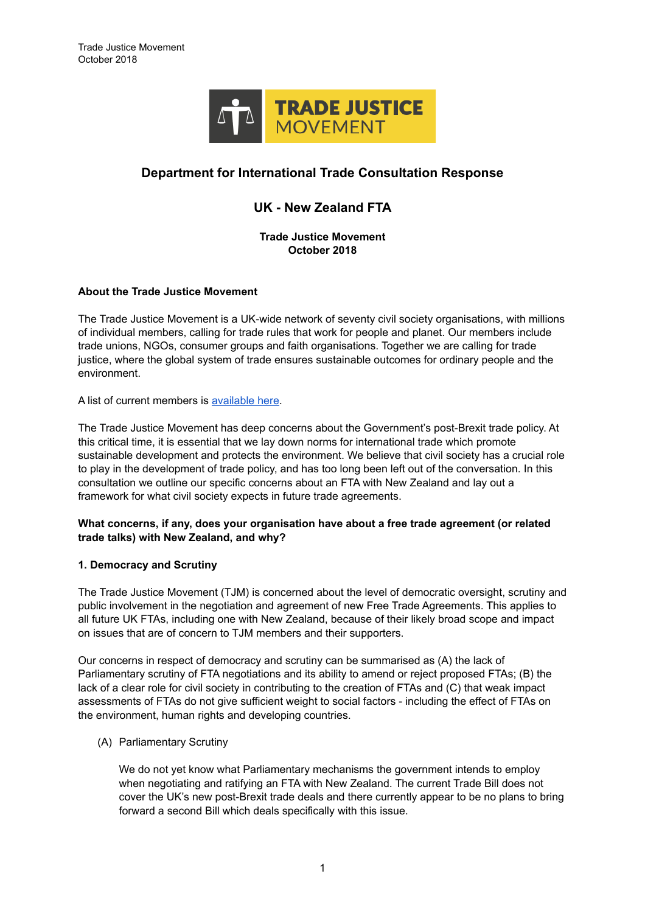

# **Department for International Trade Consultation Response**

# **UK - New Zealand FTA**

**Trade Justice Movement October 2018**

#### **About the Trade Justice Movement**

The Trade Justice Movement is a UK-wide network of seventy civil society organisations, with millions of individual members, calling for trade rules that work for people and planet. Our members include trade unions, NGOs, consumer groups and faith organisations. Together we are calling for trade justice, where the global system of trade ensures sustainable outcomes for ordinary people and the environment.

A list of current members is [available here.](https://www.tjm.org.uk/our-members)

The Trade Justice Movement has deep concerns about the Government's post-Brexit trade policy. At this critical time, it is essential that we lay down norms for international trade which promote sustainable development and protects the environment. We believe that civil society has a crucial role to play in the development of trade policy, and has too long been left out of the conversation. In this consultation we outline our specific concerns about an FTA with New Zealand and lay out a framework for what civil society expects in future trade agreements.

#### **What concerns, if any, does your organisation have about a free trade agreement (or related trade talks) with New Zealand, and why?**

# **1. Democracy and Scrutiny**

The Trade Justice Movement (TJM) is concerned about the level of democratic oversight, scrutiny and public involvement in the negotiation and agreement of new Free Trade Agreements. This applies to all future UK FTAs, including one with New Zealand, because of their likely broad scope and impact on issues that are of concern to TJM members and their supporters.

Our concerns in respect of democracy and scrutiny can be summarised as (A) the lack of Parliamentary scrutiny of FTA negotiations and its ability to amend or reject proposed FTAs; (B) the lack of a clear role for civil society in contributing to the creation of FTAs and (C) that weak impact assessments of FTAs do not give sufficient weight to social factors - including the effect of FTAs on the environment, human rights and developing countries.

#### (A) Parliamentary Scrutiny

We do not yet know what Parliamentary mechanisms the government intends to employ when negotiating and ratifying an FTA with New Zealand. The current Trade Bill does not cover the UK's new post-Brexit trade deals and there currently appear to be no plans to bring forward a second Bill which deals specifically with this issue.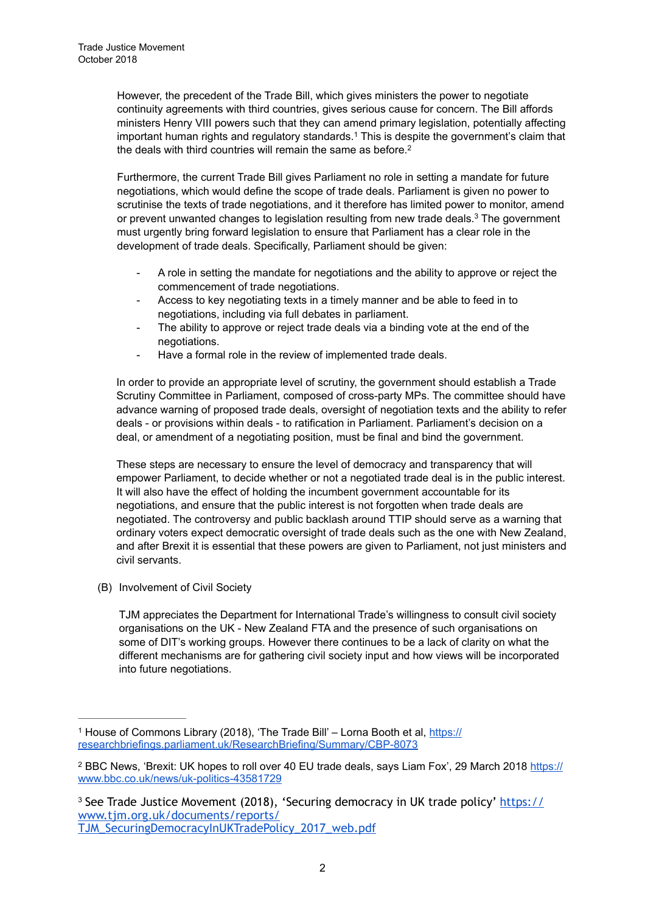However, the precedent of the Trade Bill, which gives ministers the power to negotiate continuity agreements with third countries, gives serious cause for concern. The Bill affords ministers Henry VIII powers such that they can amend primary legislation, potentially affecting important human rights and regulatory standards.<sup>1</sup> This is despite the government's claim that the deals with third countries will remain the same as before.2

Furthermore, the current Trade Bill gives Parliament no role in setting a mandate for future negotiations, which would define the scope of trade deals. Parliament is given no power to scrutinise the texts of trade negotiations, and it therefore has limited power to monitor, amend or prevent unwanted changes to legislation resulting from new trade deals.<sup>3</sup> The government must urgently bring forward legislation to ensure that Parliament has a clear role in the development of trade deals. Specifically, Parliament should be given:

- A role in setting the mandate for negotiations and the ability to approve or reject the commencement of trade negotiations.
- Access to key negotiating texts in a timely manner and be able to feed in to negotiations, including via full debates in parliament.
- The ability to approve or reject trade deals via a binding vote at the end of the negotiations.
- Have a formal role in the review of implemented trade deals.

In order to provide an appropriate level of scrutiny, the government should establish a Trade Scrutiny Committee in Parliament, composed of cross-party MPs. The committee should have advance warning of proposed trade deals, oversight of negotiation texts and the ability to refer deals - or provisions within deals - to ratification in Parliament. Parliament's decision on a deal, or amendment of a negotiating position, must be final and bind the government.

These steps are necessary to ensure the level of democracy and transparency that will empower Parliament, to decide whether or not a negotiated trade deal is in the public interest. It will also have the effect of holding the incumbent government accountable for its negotiations, and ensure that the public interest is not forgotten when trade deals are negotiated. The controversy and public backlash around TTIP should serve as a warning that ordinary voters expect democratic oversight of trade deals such as the one with New Zealand, and after Brexit it is essential that these powers are given to Parliament, not just ministers and civil servants.

(B) Involvement of Civil Society

TJM appreciates the Department for International Trade's willingness to consult civil society organisations on the UK - New Zealand FTA and the presence of such organisations on some of DIT's working groups. However there continues to be a lack of clarity on what the different mechanisms are for gathering civil society input and how views will be incorporated into future negotiations.

<sup>&</sup>lt;sup>1</sup> [House of Commons Library \(2018\), 'The Trade Bill' – Lorna Booth et al, https://](https://researchbriefings.parliament.uk/ResearchBriefing/Summary/CBP-8073) researchbriefings.parliament.uk/ResearchBriefing/Summary/CBP-8073

<sup>&</sup>lt;sup>2</sup> [BBC News, 'Brexit: UK hopes to roll over 40 EU trade deals, says Liam Fox', 29 March 2018 https://](https://www.bbc.co.uk/news/uk-politics-43581729) www.bbc.co.uk/news/uk-politics-43581729

<sup>&</sup>lt;sup>3</sup> [See Trade Justice Movement \(2018\), 'Securing democracy in UK trade policy' https://](https://www.tjm.org.uk/documents/reports/TJM_SecuringDemocracyInUKTradePolicy_2017_web.pdf) www.tjm.org.uk/documents/reports/ TJM\_SecuringDemocracyInUKTradePolicy\_2017\_web.pdf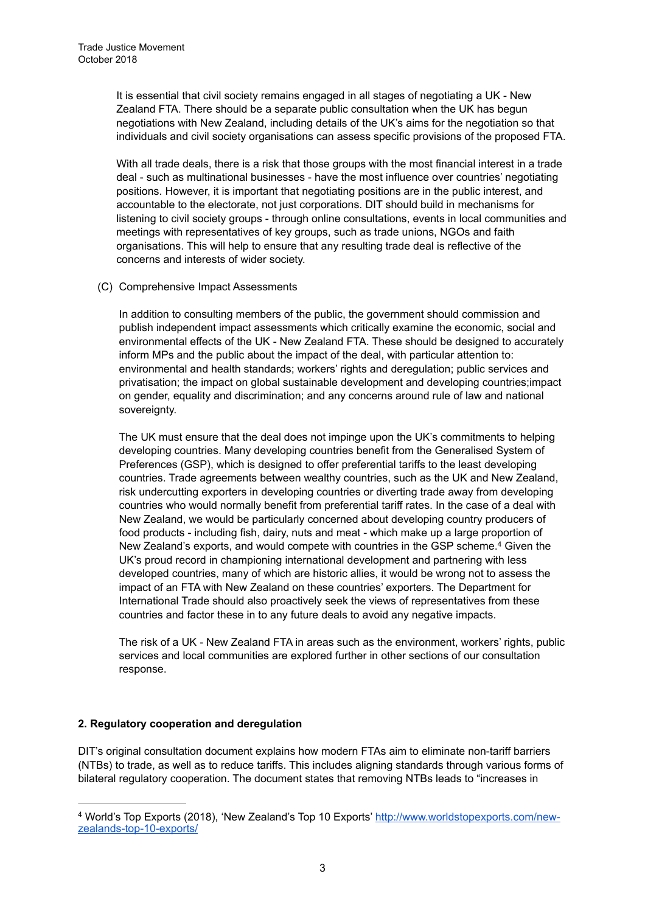It is essential that civil society remains engaged in all stages of negotiating a UK - New Zealand FTA. There should be a separate public consultation when the UK has begun negotiations with New Zealand, including details of the UK's aims for the negotiation so that individuals and civil society organisations can assess specific provisions of the proposed FTA.

With all trade deals, there is a risk that those groups with the most financial interest in a trade deal - such as multinational businesses - have the most influence over countries' negotiating positions. However, it is important that negotiating positions are in the public interest, and accountable to the electorate, not just corporations. DIT should build in mechanisms for listening to civil society groups - through online consultations, events in local communities and meetings with representatives of key groups, such as trade unions, NGOs and faith organisations. This will help to ensure that any resulting trade deal is reflective of the concerns and interests of wider society.

(C) Comprehensive Impact Assessments

In addition to consulting members of the public, the government should commission and publish independent impact assessments which critically examine the economic, social and environmental effects of the UK - New Zealand FTA. These should be designed to accurately inform MPs and the public about the impact of the deal, with particular attention to: environmental and health standards; workers' rights and deregulation; public services and privatisation; the impact on global sustainable development and developing countries;impact on gender, equality and discrimination; and any concerns around rule of law and national sovereignty.

The UK must ensure that the deal does not impinge upon the UK's commitments to helping developing countries. Many developing countries benefit from the Generalised System of Preferences (GSP), which is designed to offer preferential tariffs to the least developing countries. Trade agreements between wealthy countries, such as the UK and New Zealand, risk undercutting exporters in developing countries or diverting trade away from developing countries who would normally benefit from preferential tariff rates. In the case of a deal with New Zealand, we would be particularly concerned about developing country producers of food products - including fish, dairy, nuts and meat - which make up a large proportion of New Zealand's exports, and would compete with countries in the GSP scheme.<sup>4</sup> Given the UK's proud record in championing international development and partnering with less developed countries, many of which are historic allies, it would be wrong not to assess the impact of an FTA with New Zealand on these countries' exporters. The Department for International Trade should also proactively seek the views of representatives from these countries and factor these in to any future deals to avoid any negative impacts.

The risk of a UK - New Zealand FTA in areas such as the environment, workers' rights, public services and local communities are explored further in other sections of our consultation response.

#### **2. Regulatory cooperation and deregulation**

DIT's original consultation document explains how modern FTAs aim to eliminate non-tariff barriers (NTBs) to trade, as well as to reduce tariffs. This includes aligning standards through various forms of bilateral regulatory cooperation. The document states that removing NTBs leads to "increases in

[World's Top Exports \(2018\), 'New Zealand's Top 10 Exports' http://www.worldstopexports.com/new-](http://www.worldstopexports.com/new-zealands-top-10-exports/) <sup>4</sup> zealands-top-10-exports/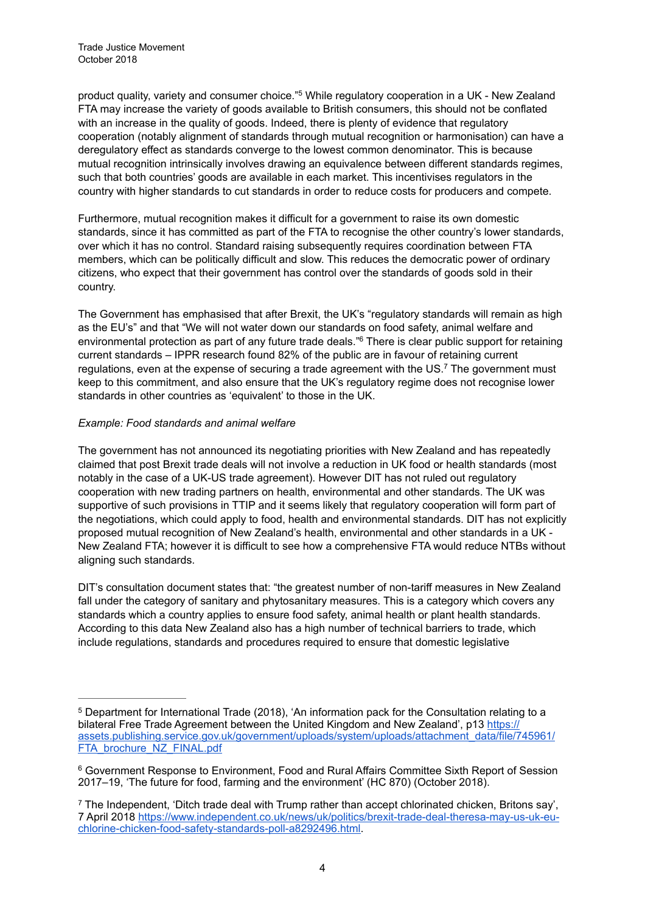product quality, variety and consumer choice."<sup>5</sup> While regulatory cooperation in a UK - New Zealand FTA may increase the variety of goods available to British consumers, this should not be conflated with an increase in the quality of goods. Indeed, there is plenty of evidence that regulatory cooperation (notably alignment of standards through mutual recognition or harmonisation) can have a deregulatory effect as standards converge to the lowest common denominator. This is because mutual recognition intrinsically involves drawing an equivalence between different standards regimes, such that both countries' goods are available in each market. This incentivises regulators in the country with higher standards to cut standards in order to reduce costs for producers and compete.

Furthermore, mutual recognition makes it difficult for a government to raise its own domestic standards, since it has committed as part of the FTA to recognise the other country's lower standards, over which it has no control. Standard raising subsequently requires coordination between FTA members, which can be politically difficult and slow. This reduces the democratic power of ordinary citizens, who expect that their government has control over the standards of goods sold in their country.

The Government has emphasised that after Brexit, the UK's "regulatory standards will remain as high as the EU's" and that "We will not water down our standards on food safety, animal welfare and environmental protection as part of any future trade deals."<sup>6</sup> There is clear public support for retaining current standards – IPPR research found 82% of the public are in favour of retaining current regulations, even at the expense of securing a trade agreement with the US.<sup>7</sup> The government must keep to this commitment, and also ensure that the UK's regulatory regime does not recognise lower standards in other countries as 'equivalent' to those in the UK.

#### *Example: Food standards and animal welfare*

The government has not announced its negotiating priorities with New Zealand and has repeatedly claimed that post Brexit trade deals will not involve a reduction in UK food or health standards (most notably in the case of a UK-US trade agreement). However DIT has not ruled out regulatory cooperation with new trading partners on health, environmental and other standards. The UK was supportive of such provisions in TTIP and it seems likely that regulatory cooperation will form part of the negotiations, which could apply to food, health and environmental standards. DIT has not explicitly proposed mutual recognition of New Zealand's health, environmental and other standards in a UK - New Zealand FTA; however it is difficult to see how a comprehensive FTA would reduce NTBs without aligning such standards.

DIT's consultation document states that: "the greatest number of non-tariff measures in New Zealand fall under the category of sanitary and phytosanitary measures. This is a category which covers any standards which a country applies to ensure food safety, animal health or plant health standards. According to this data New Zealand also has a high number of technical barriers to trade, which include regulations, standards and procedures required to ensure that domestic legislative

<sup>&</sup>lt;sup>5</sup> Department for International Trade (2018), 'An information pack for the Consultation relating to a bilateral Free Trade Agreement between the United Kingdom and New Zealand', p13 https:// [assets.publishing.service.gov.uk/government/uploads/system/uploads/attachment\\_data/file/745961/](https://assets.publishing.service.gov.uk/government/uploads/system/uploads/attachment_data/file/745961/FTA_brochure_NZ_FINAL.pdf) FTA\_brochure\_NZ\_FINAL.pdf

<sup>&</sup>lt;sup>6</sup> Government Response to Environment, Food and Rural Affairs Committee Sixth Report of Session 2017–19, 'The future for food, farming and the environment' (HC 870) (October 2018).

<sup>&</sup>lt;sup>7</sup> The Independent, 'Ditch trade deal with Trump rather than accept chlorinated chicken, Britons say', [7 April 2018 https://www.independent.co.uk/news/uk/politics/brexit-trade-deal-theresa-may-us-uk-eu](https://www.independent.co.uk/news/uk/politics/brexit-trade-deal-theresa-may-us-uk-eu-chlorine-chicken-food-safety-standards-poll-a8292496.html)chlorine-chicken-food-safety-standards-poll-a8292496.html.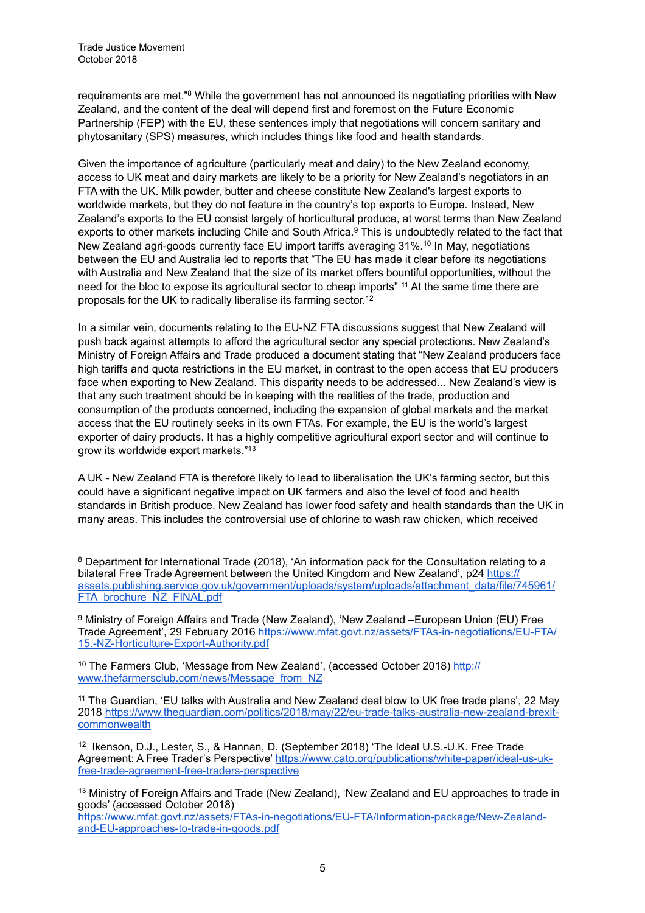Trade Justice Movement October 2018

requirements are met."<sup>8</sup> While the government has not announced its negotiating priorities with New Zealand, and the content of the deal will depend first and foremost on the Future Economic Partnership (FEP) with the EU, these sentences imply that negotiations will concern sanitary and phytosanitary (SPS) measures, which includes things like food and health standards.

Given the importance of agriculture (particularly meat and dairy) to the New Zealand economy, access to UK meat and dairy markets are likely to be a priority for New Zealand's negotiators in an FTA with the UK. Milk powder, butter and cheese constitute New Zealand's largest exports to worldwide markets, but they do not feature in the country's top exports to Europe. Instead, New Zealand's exports to the EU consist largely of horticultural produce, at worst terms than New Zealand exports to other markets including Chile and South Africa.<sup>9</sup> This is undoubtedly related to the fact that New Zealand agri-goods currently face EU import tariffs averaging 31%.<sup>10</sup> In May, negotiations between the EU and Australia led to reports that "The EU has made it clear before its negotiations with Australia and New Zealand that the size of its market offers bountiful opportunities, without the need for the bloc to expose its agricultural sector to cheap imports"  $11$  At the same time there are proposals for the UK to radically liberalise its farming sector.12

In a similar vein, documents relating to the EU-NZ FTA discussions suggest that New Zealand will push back against attempts to afford the agricultural sector any special protections. New Zealand's Ministry of Foreign Affairs and Trade produced a document stating that "New Zealand producers face high tariffs and quota restrictions in the EU market, in contrast to the open access that EU producers face when exporting to New Zealand. This disparity needs to be addressed... New Zealand's view is that any such treatment should be in keeping with the realities of the trade, production and consumption of the products concerned, including the expansion of global markets and the market access that the EU routinely seeks in its own FTAs. For example, the EU is the world's largest exporter of dairy products. It has a highly competitive agricultural export sector and will continue to grow its worldwide export markets."13

A UK - New Zealand FTA is therefore likely to lead to liberalisation the UK's farming sector, but this could have a significant negative impact on UK farmers and also the level of food and health standards in British produce. New Zealand has lower food safety and health standards than the UK in many areas. This includes the controversial use of chlorine to wash raw chicken, which received

<sup>&</sup>lt;sup>8</sup> Department for International Trade (2018), 'An information pack for the Consultation relating to a bilateral Free Trade Agreement between the United Kingdom and New Zealand', p24 https:// [assets.publishing.service.gov.uk/government/uploads/system/uploads/attachment\\_data/file/745961/](https://assets.publishing.service.gov.uk/government/uploads/system/uploads/attachment_data/file/745961/FTA_brochure_NZ_FINAL.pdf) FTA\_brochure\_NZ\_FINAL.pdf

<sup>&</sup>lt;sup>9</sup> Ministry of Foreign Affairs and Trade (New Zealand), 'New Zealand –European Union (EU) Free [Trade Agreement', 29 February 2016 https://www.mfat.govt.nz/assets/FTAs-in-negotiations/EU-FTA/](https://www.mfat.govt.nz/assets/FTAs-in-negotiations/EU-FTA/15.-NZ-Horticulture-Export-Authority.pdf) 15.-NZ-Horticulture-Export-Authority.pdf

<sup>&</sup>lt;sup>10</sup> [The Farmers Club, 'Message from New Zealand', \(accessed October 2018\) http://](http://www.thefarmersclub.com/news/Message_from_NZ) www.thefarmersclub.com/news/Message\_from\_NZ

<sup>&</sup>lt;sup>11</sup> The Guardian, 'EU talks with Australia and New Zealand deal blow to UK free trade plans', 22 May [2018 https://www.theguardian.com/politics/2018/may/22/eu-trade-talks-australia-new-zealand-brexit](https://www.theguardian.com/politics/2018/may/22/eu-trade-talks-australia-new-zealand-brexit-commonwealth)**commonwealth** 

<sup>&</sup>lt;sup>12</sup> Ikenson, D.J., Lester, S., & Hannan, D. (September 2018) 'The Ideal U.S.-U.K. Free Trade [Agreement: A Free Trader's Perspective' https://www.cato.org/publications/white-paper/ideal-us-uk](https://www.cato.org/publications/white-paper/ideal-us-uk-free-trade-agreement-free-traders-perspective)free-trade-agreement-free-traders-perspective

<sup>&</sup>lt;sup>13</sup> Ministry of Foreign Affairs and Trade (New Zealand), 'New Zealand and EU approaches to trade in goods' (accessed October 2018)

[https://www.mfat.govt.nz/assets/FTAs-in-negotiations/EU-FTA/Information-package/New-Zealand](https://www.mfat.govt.nz/assets/FTAs-in-negotiations/EU-FTA/Information-package/New-Zealand-and-EU-approaches-to-trade-in-goods.pdf)and-EU-approaches-to-trade-in-goods.pdf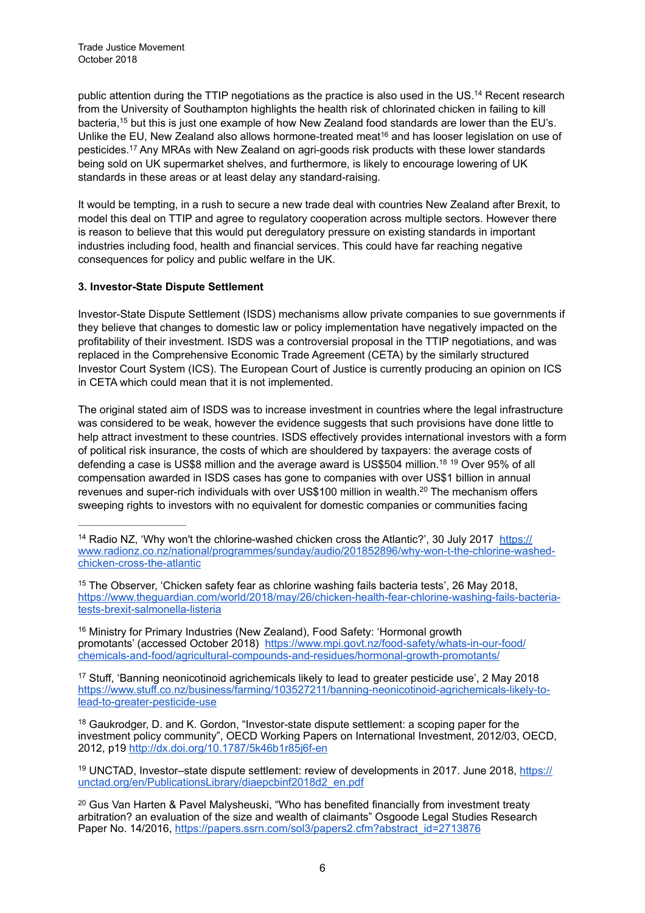public attention during the TTIP negotiations as the practice is also used in the US.<sup>14</sup> Recent research from the University of Southampton highlights the health risk of chlorinated chicken in failing to kill bacteria,<sup>15</sup> but this is just one example of how New Zealand food standards are lower than the EU's. Unlike the EU, New Zealand also allows hormone-treated meat<sup>16</sup> and has looser legislation on use of pesticides.<sup>17</sup> Any MRAs with New Zealand on agri-goods risk products with these lower standards being sold on UK supermarket shelves, and furthermore, is likely to encourage lowering of UK standards in these areas or at least delay any standard-raising.

It would be tempting, in a rush to secure a new trade deal with countries New Zealand after Brexit, to model this deal on TTIP and agree to regulatory cooperation across multiple sectors. However there is reason to believe that this would put deregulatory pressure on existing standards in important industries including food, health and financial services. This could have far reaching negative consequences for policy and public welfare in the UK.

# **3. Investor-State Dispute Settlement**

Investor-State Dispute Settlement (ISDS) mechanisms allow private companies to sue governments if they believe that changes to domestic law or policy implementation have negatively impacted on the profitability of their investment. ISDS was a controversial proposal in the TTIP negotiations, and was replaced in the Comprehensive Economic Trade Agreement (CETA) by the similarly structured Investor Court System (ICS). The European Court of Justice is currently producing an opinion on ICS in CETA which could mean that it is not implemented.

The original stated aim of ISDS was to increase investment in countries where the legal infrastructure was considered to be weak, however the evidence suggests that such provisions have done little to help attract investment to these countries. ISDS effectively provides international investors with a form of political risk insurance, the costs of which are shouldered by taxpayers: the average costs of defending a case is US\$8 million and the average award is US\$504 million.<sup>18 19</sup> Over 95% of all compensation awarded in ISDS cases has gone to companies with over US\$1 billion in annual revenues and super-rich individuals with over US\$100 million in wealth.<sup>20</sup> The mechanism offers sweeping rights to investors with no equivalent for domestic companies or communities facing

16 Ministry for Primary Industries (New Zealand), Food Safety: 'Hormonal growth [promotants' \(accessed October 2018\) https://www.mpi.govt.nz/food-safety/whats-in-our-food/](https://www.mpi.govt.nz/food-safety/whats-in-our-food/chemicals-and-food/agricultural-compounds-and-residues/hormonal-growth-promotants/) chemicals-and-food/agricultural-compounds-and-residues/hormonal-growth-promotants/

<sup>17</sup> Stuff, 'Banning neonicotinoid agrichemicals likely to lead to greater pesticide use', 2 May 2018 [https://www.stuff.co.nz/business/farming/103527211/banning-neonicotinoid-agrichemicals-likely-to](https://www.stuff.co.nz/business/farming/103527211/banning-neonicotinoid-agrichemicals-likely-to-lead-to-greater-pesticide-use)lead-to-greater-pesticide-use

<sup>18</sup> Gaukrodger, D. and K. Gordon, "Investor-state dispute settlement: a scoping paper for the investment policy community", OECD Working Papers on International Investment, 2012/03, OECD, 2012, p19<http://dx.doi.org/10.1787/5k46b1r85j6f-en>

<sup>19</sup> [UNCTAD, Investor–state dispute settlement: review of developments in 2017. June 2018, https://](https://unctad.org/en/PublicationsLibrary/diaepcbinf2018d2_en.pdf) unctad.org/en/PublicationsLibrary/diaepcbinf2018d2\_en.pdf

<sup>20</sup> Gus Van Harten & Pavel Malysheuski, "Who has benefited financially from investment treaty arbitration? an evaluation of the size and wealth of claimants" Osgoode Legal Studies Research Paper No. 14/2016, [https://papers.ssrn.com/sol3/papers2.cfm?abstract\\_id=2713876](https://papers.ssrn.com/sol3/papers2.cfm?abstract_id=2713876)

<sup>&</sup>lt;sup>14</sup> Radio NZ, 'Why won't the chlorine-washed chicken cross the Atlantic?', 30 July 2017 https:// [www.radionz.co.nz/national/programmes/sunday/audio/201852896/why-won-t-the-chlorine-washed](https://www.radionz.co.nz/national/programmes/sunday/audio/201852896/why-won-t-the-chlorine-washed-chicken-cross-the-atlantic)chicken-cross-the-atlantic

<sup>&</sup>lt;sup>15</sup> The Observer, 'Chicken safety fear as chlorine washing fails bacteria tests', 26 May 2018, [https://www.theguardian.com/world/2018/may/26/chicken-health-fear-chlorine-washing-fails-bacteria](https://www.theguardian.com/world/2018/may/26/chicken-health-fear-chlorine-washing-fails-bacteria-tests-brexit-salmonella-listeria)tests-brexit-salmonella-listeria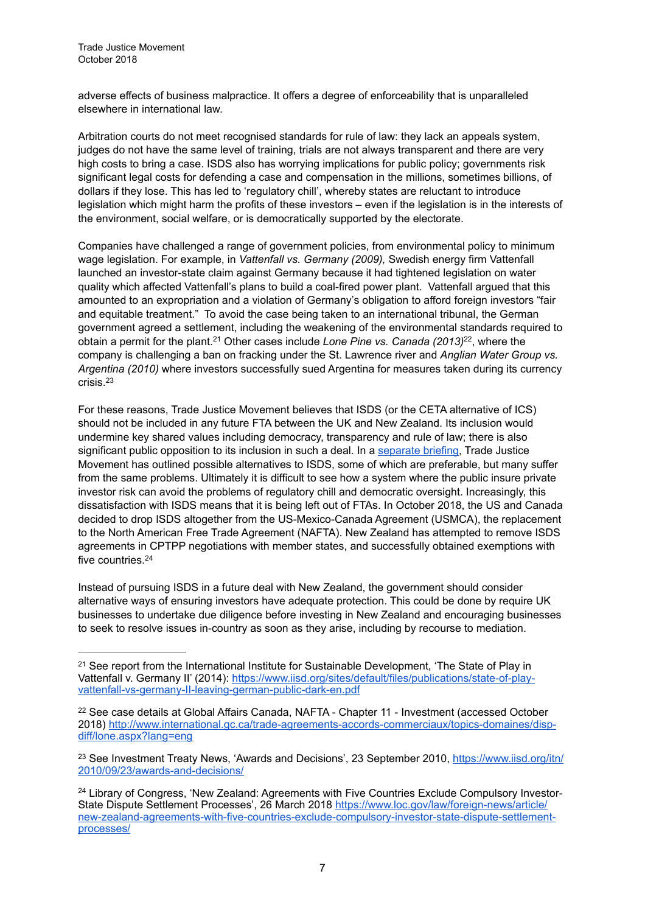adverse effects of business malpractice. It offers a degree of enforceability that is unparalleled elsewhere in international law.

Arbitration courts do not meet recognised standards for rule of law: they lack an appeals system, judges do not have the same level of training, trials are not always transparent and there are very high costs to bring a case. ISDS also has worrying implications for public policy; governments risk significant legal costs for defending a case and compensation in the millions, sometimes billions, of dollars if they lose. This has led to 'regulatory chill', whereby states are reluctant to introduce legislation which might harm the profits of these investors – even if the legislation is in the interests of the environment, social welfare, or is democratically supported by the electorate.

Companies have challenged a range of government policies, from environmental policy to minimum wage legislation. For example, in *Vattenfall vs. Germany (2009),* Swedish energy firm Vattenfall launched an investor-state claim against Germany because it had tightened legislation on water quality which affected Vattenfall's plans to build a coal-fired power plant. Vattenfall argued that this amounted to an expropriation and a violation of Germany's obligation to afford foreign investors "fair and equitable treatment." To avoid the case being taken to an international tribunal, the German government agreed a settlement, including the weakening of the environmental standards required to obtain a permit for the plant.<sup>21</sup> Other cases include *Lone Pine vs. Canada (2013)*<sup>22</sup>, where the company is challenging a ban on fracking under the St. Lawrence river and *Anglian Water Group vs. Argentina (2010)* where investors successfully sued Argentina for measures taken during its currency crisis.23

For these reasons, Trade Justice Movement believes that ISDS (or the CETA alternative of ICS) should not be included in any future FTA between the UK and New Zealand. Its inclusion would undermine key shared values including democracy, transparency and rule of law; there is also significant public opposition to its inclusion in such a deal. In a [separate briefing](https://www.tjm.org.uk/documents/briefings/Stepping-away-from-ISDS.pdf), Trade Justice Movement has outlined possible alternatives to ISDS, some of which are preferable, but many suffer from the same problems. Ultimately it is difficult to see how a system where the public insure private investor risk can avoid the problems of regulatory chill and democratic oversight. Increasingly, this dissatisfaction with ISDS means that it is being left out of FTAs. In October 2018, the US and Canada decided to drop ISDS altogether from the US-Mexico-Canada Agreement (USMCA), the replacement to the North American Free Trade Agreement (NAFTA). New Zealand has attempted to remove ISDS agreements in CPTPP negotiations with member states, and successfully obtained exemptions with five countries.24

Instead of pursuing ISDS in a future deal with New Zealand, the government should consider alternative ways of ensuring investors have adequate protection. This could be done by require UK businesses to undertake due diligence before investing in New Zealand and encouraging businesses to seek to resolve issues in-country as soon as they arise, including by recourse to mediation.

<sup>&</sup>lt;sup>21</sup> See report from the International Institute for Sustainable Development, 'The State of Play in [Vattenfall v. Germany II' \(2014\): https://www.iisd.org/sites/default/files/publications/state-of-play](https://www.iisd.org/sites/default/files/publications/state-of-play-vattenfall-vs-germany-II-leaving-german-public-dark-en.pdf)vattenfall-vs-germany-II-leaving-german-public-dark-en.pdf

 $22$  See case details at Global Affairs Canada, NAFTA - Chapter 11 - Investment (accessed October [2018\) http://www.international.gc.ca/trade-agreements-accords-commerciaux/topics-domaines/disp](http://www.international.gc.ca/trade-agreements-accords-commerciaux/topics-domaines/disp-diff/lone.aspx?lang=eng)diff/lone.aspx?lang=eng

<sup>&</sup>lt;sup>23</sup> [See Investment Treaty News, 'Awards and Decisions', 23 September 2010, https://www.iisd.org/itn/](https://www.iisd.org/itn/2010/09/23/awards-and-decisions/) 2010/09/23/awards-and-decisions/

<sup>&</sup>lt;sup>24</sup> Library of Congress, 'New Zealand: Agreements with Five Countries Exclude Compulsory Investor-State Dispute Settlement Processes', 26 March 2018 https://www.loc.gov/law/foreign-news/article/ [new-zealand-agreements-with-five-countries-exclude-compulsory-investor-state-dispute-settlement](https://www.loc.gov/law/foreign-news/article/new-zealand-agreements-with-five-countries-exclude-compulsory-investor-state-dispute-settlement-processes/)processes/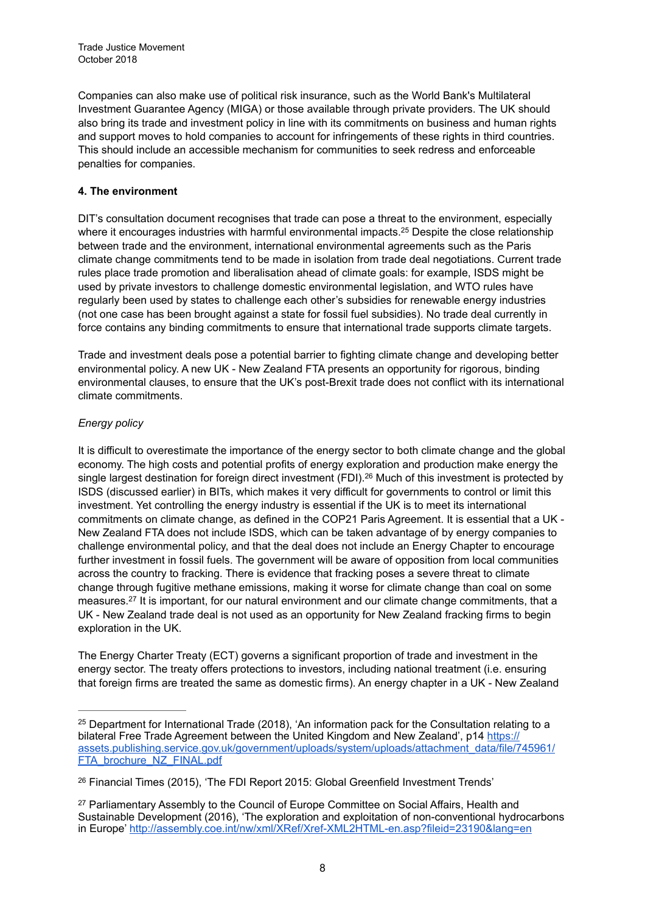Companies can also make use of political risk insurance, such as the World Bank's Multilateral Investment Guarantee Agency (MIGA) or those available through private providers. The UK should also bring its trade and investment policy in line with its commitments on business and human rights and support moves to hold companies to account for infringements of these rights in third countries. This should include an accessible mechanism for communities to seek redress and enforceable penalties for companies.

# **4. The environment**

DIT's consultation document recognises that trade can pose a threat to the environment, especially where it encourages industries with harmful environmental impacts.<sup>25</sup> Despite the close relationship between trade and the environment, international environmental agreements such as the Paris climate change commitments tend to be made in isolation from trade deal negotiations. Current trade rules place trade promotion and liberalisation ahead of climate goals: for example, ISDS might be used by private investors to challenge domestic environmental legislation, and WTO rules have regularly been used by states to challenge each other's subsidies for renewable energy industries (not one case has been brought against a state for fossil fuel subsidies). No trade deal currently in force contains any binding commitments to ensure that international trade supports climate targets.

Trade and investment deals pose a potential barrier to fighting climate change and developing better environmental policy. A new UK - New Zealand FTA presents an opportunity for rigorous, binding environmental clauses, to ensure that the UK's post-Brexit trade does not conflict with its international climate commitments.

# *Energy policy*

It is difficult to overestimate the importance of the energy sector to both climate change and the global economy. The high costs and potential profits of energy exploration and production make energy the single largest destination for foreign direct investment (FDI).<sup>26</sup> Much of this investment is protected by ISDS (discussed earlier) in BITs, which makes it very difficult for governments to control or limit this investment. Yet controlling the energy industry is essential if the UK is to meet its international commitments on climate change, as defined in the COP21 Paris Agreement. It is essential that a UK - New Zealand FTA does not include ISDS, which can be taken advantage of by energy companies to challenge environmental policy, and that the deal does not include an Energy Chapter to encourage further investment in fossil fuels. The government will be aware of opposition from local communities across the country to fracking. There is evidence that fracking poses a severe threat to climate change through fugitive methane emissions, making it worse for climate change than coal on some measures.<sup>27</sup> It is important, for our natural environment and our climate change commitments, that a UK - New Zealand trade deal is not used as an opportunity for New Zealand fracking firms to begin exploration in the UK.

The Energy Charter Treaty (ECT) governs a significant proportion of trade and investment in the energy sector. The treaty offers protections to investors, including national treatment (i.e. ensuring that foreign firms are treated the same as domestic firms). An energy chapter in a UK - New Zealand

<sup>&</sup>lt;sup>25</sup> Department for International Trade (2018), 'An information pack for the Consultation relating to a bilateral Free Trade Agreement between the United Kingdom and New Zealand', p14 https:// [assets.publishing.service.gov.uk/government/uploads/system/uploads/attachment\\_data/file/745961/](https://assets.publishing.service.gov.uk/government/uploads/system/uploads/attachment_data/file/745961/FTA_brochure_NZ_FINAL.pdf) FTA brochure NZ FINAL.pdf

<sup>&</sup>lt;sup>26</sup> Financial Times (2015), 'The FDI Report 2015: Global Greenfield Investment Trends'

<sup>&</sup>lt;sup>27</sup> Parliamentary Assembly to the Council of Europe Committee on Social Affairs, Health and Sustainable Development (2016), 'The exploration and exploitation of non-conventional hydrocarbons in Europe'<http://assembly.coe.int/nw/xml/XRef/Xref-XML2HTML-en.asp?fileid=23190&lang=en>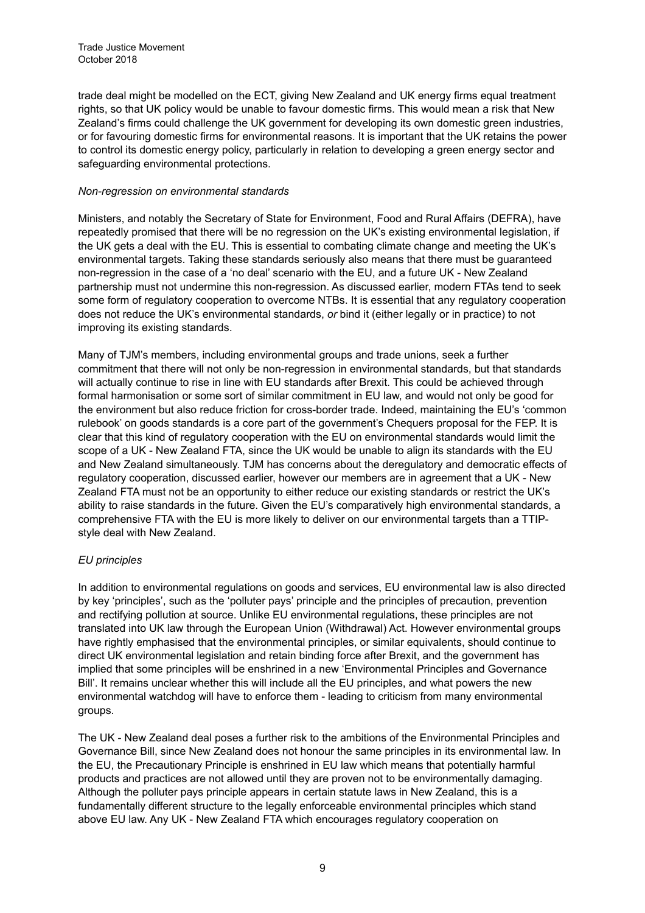trade deal might be modelled on the ECT, giving New Zealand and UK energy firms equal treatment rights, so that UK policy would be unable to favour domestic firms. This would mean a risk that New Zealand's firms could challenge the UK government for developing its own domestic green industries, or for favouring domestic firms for environmental reasons. It is important that the UK retains the power to control its domestic energy policy, particularly in relation to developing a green energy sector and safeguarding environmental protections.

#### *Non-regression on environmental standards*

Ministers, and notably the Secretary of State for Environment, Food and Rural Affairs (DEFRA), have repeatedly promised that there will be no regression on the UK's existing environmental legislation, if the UK gets a deal with the EU. This is essential to combating climate change and meeting the UK's environmental targets. Taking these standards seriously also means that there must be guaranteed non-regression in the case of a 'no deal' scenario with the EU, and a future UK - New Zealand partnership must not undermine this non-regression. As discussed earlier, modern FTAs tend to seek some form of regulatory cooperation to overcome NTBs. It is essential that any regulatory cooperation does not reduce the UK's environmental standards, *or* bind it (either legally or in practice) to not improving its existing standards.

Many of TJM's members, including environmental groups and trade unions, seek a further commitment that there will not only be non-regression in environmental standards, but that standards will actually continue to rise in line with EU standards after Brexit. This could be achieved through formal harmonisation or some sort of similar commitment in EU law, and would not only be good for the environment but also reduce friction for cross-border trade. Indeed, maintaining the EU's 'common rulebook' on goods standards is a core part of the government's Chequers proposal for the FEP. It is clear that this kind of regulatory cooperation with the EU on environmental standards would limit the scope of a UK - New Zealand FTA, since the UK would be unable to align its standards with the EU and New Zealand simultaneously. TJM has concerns about the deregulatory and democratic effects of regulatory cooperation, discussed earlier, however our members are in agreement that a UK - New Zealand FTA must not be an opportunity to either reduce our existing standards or restrict the UK's ability to raise standards in the future. Given the EU's comparatively high environmental standards, a comprehensive FTA with the EU is more likely to deliver on our environmental targets than a TTIPstyle deal with New Zealand.

# *EU principles*

In addition to environmental regulations on goods and services, EU environmental law is also directed by key 'principles', such as the 'polluter pays' principle and the principles of precaution, prevention and rectifying pollution at source. Unlike EU environmental regulations, these principles are not translated into UK law through the European Union (Withdrawal) Act. However environmental groups have rightly emphasised that the environmental principles, or similar equivalents, should continue to direct UK environmental legislation and retain binding force after Brexit, and the government has implied that some principles will be enshrined in a new 'Environmental Principles and Governance Bill'. It remains unclear whether this will include all the EU principles, and what powers the new environmental watchdog will have to enforce them - leading to criticism from many environmental groups.

The UK - New Zealand deal poses a further risk to the ambitions of the Environmental Principles and Governance Bill, since New Zealand does not honour the same principles in its environmental law. In the EU, the Precautionary Principle is enshrined in EU law which means that potentially harmful products and practices are not allowed until they are proven not to be environmentally damaging. Although the polluter pays principle appears in certain statute laws in New Zealand, this is a fundamentally different structure to the legally enforceable environmental principles which stand above EU law. Any UK - New Zealand FTA which encourages regulatory cooperation on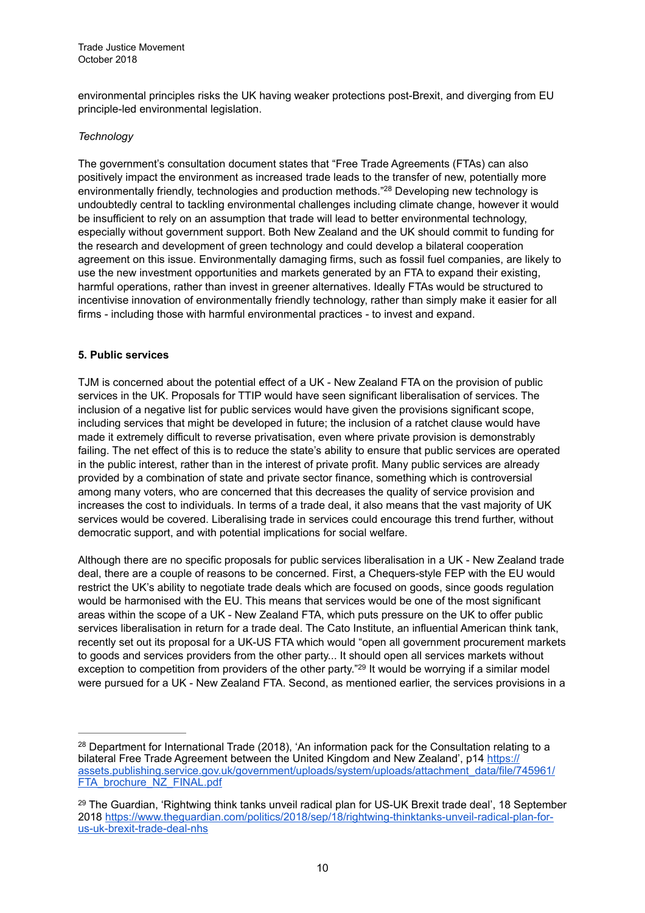environmental principles risks the UK having weaker protections post-Brexit, and diverging from EU principle-led environmental legislation.

### *Technology*

The government's consultation document states that "Free Trade Agreements (FTAs) can also positively impact the environment as increased trade leads to the transfer of new, potentially more environmentally friendly, technologies and production methods."<sup>28</sup> Developing new technology is undoubtedly central to tackling environmental challenges including climate change, however it would be insufficient to rely on an assumption that trade will lead to better environmental technology, especially without government support. Both New Zealand and the UK should commit to funding for the research and development of green technology and could develop a bilateral cooperation agreement on this issue. Environmentally damaging firms, such as fossil fuel companies, are likely to use the new investment opportunities and markets generated by an FTA to expand their existing, harmful operations, rather than invest in greener alternatives. Ideally FTAs would be structured to incentivise innovation of environmentally friendly technology, rather than simply make it easier for all firms - including those with harmful environmental practices - to invest and expand.

#### **5. Public services**

TJM is concerned about the potential effect of a UK - New Zealand FTA on the provision of public services in the UK. Proposals for TTIP would have seen significant liberalisation of services. The inclusion of a negative list for public services would have given the provisions significant scope, including services that might be developed in future; the inclusion of a ratchet clause would have made it extremely difficult to reverse privatisation, even where private provision is demonstrably failing. The net effect of this is to reduce the state's ability to ensure that public services are operated in the public interest, rather than in the interest of private profit. Many public services are already provided by a combination of state and private sector finance, something which is controversial among many voters, who are concerned that this decreases the quality of service provision and increases the cost to individuals. In terms of a trade deal, it also means that the vast majority of UK services would be covered. Liberalising trade in services could encourage this trend further, without democratic support, and with potential implications for social welfare.

Although there are no specific proposals for public services liberalisation in a UK - New Zealand trade deal, there are a couple of reasons to be concerned. First, a Chequers-style FEP with the EU would restrict the UK's ability to negotiate trade deals which are focused on goods, since goods regulation would be harmonised with the EU. This means that services would be one of the most significant areas within the scope of a UK - New Zealand FTA, which puts pressure on the UK to offer public services liberalisation in return for a trade deal. The Cato Institute, an influential American think tank, recently set out its proposal for a UK-US FTA which would "open all government procurement markets to goods and services providers from the other party... It should open all services markets without exception to competition from providers of the other party."<sup>29</sup> It would be worrying if a similar model were pursued for a UK - New Zealand FTA. Second, as mentioned earlier, the services provisions in a

<sup>&</sup>lt;sup>28</sup> Department for International Trade (2018), 'An information pack for the Consultation relating to a bilateral Free Trade Agreement between the United Kingdom and New Zealand', p14 https:// [assets.publishing.service.gov.uk/government/uploads/system/uploads/attachment\\_data/file/745961/](https://assets.publishing.service.gov.uk/government/uploads/system/uploads/attachment_data/file/745961/FTA_brochure_NZ_FINAL.pdf) FTA\_brochure\_NZ\_FINAL.pdf

<sup>&</sup>lt;sup>29</sup> The Guardian, 'Rightwing think tanks unveil radical plan for US-UK Brexit trade deal', 18 September [2018 https://www.theguardian.com/politics/2018/sep/18/rightwing-thinktanks-unveil-radical-plan-for](https://www.theguardian.com/politics/2018/sep/18/rightwing-thinktanks-unveil-radical-plan-for-us-uk-brexit-trade-deal-nhs)us-uk-brexit-trade-deal-nhs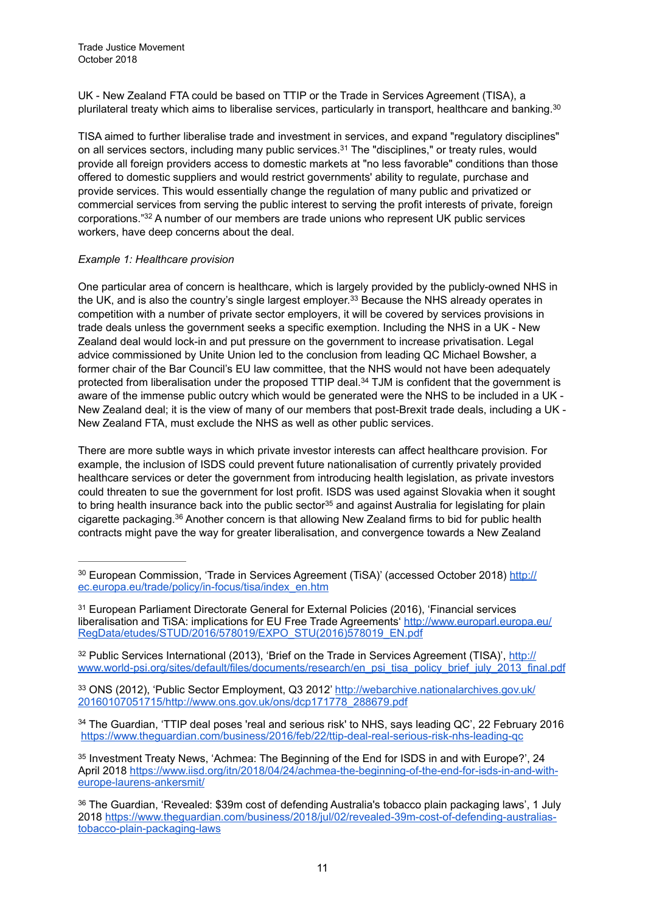UK - New Zealand FTA could be based on TTIP or the Trade in Services Agreement (TISA), a plurilateral treaty which aims to liberalise services, particularly in transport, healthcare and banking.30

TISA aimed to further liberalise trade and investment in services, and expand "regulatory disciplines" on all services sectors, including many public services.<sup>31</sup> The "disciplines," or treaty rules, would provide all foreign providers access to domestic markets at "no less favorable" conditions than those offered to domestic suppliers and would restrict governments' ability to regulate, purchase and provide services. This would essentially change the regulation of many public and privatized or commercial services from serving the public interest to serving the profit interests of private, foreign corporations." 32 A number of our members are trade unions who represent UK public services workers, have deep concerns about the deal.

#### *Example 1: Healthcare provision*

One particular area of concern is healthcare, which is largely provided by the publicly-owned NHS in the UK, and is also the country's single largest employer.<sup>33</sup> Because the NHS already operates in competition with a number of private sector employers, it will be covered by services provisions in trade deals unless the government seeks a specific exemption. Including the NHS in a UK - New Zealand deal would lock-in and put pressure on the government to increase privatisation. Legal advice commissioned by Unite Union led to the conclusion from leading QC Michael Bowsher, a former chair of the Bar Council's EU law committee, that the NHS would not have been adequately protected from liberalisation under the proposed TTIP deal.<sup>34</sup> TJM is confident that the government is aware of the immense public outcry which would be generated were the NHS to be included in a UK - New Zealand deal; it is the view of many of our members that post-Brexit trade deals, including a UK - New Zealand FTA, must exclude the NHS as well as other public services.

There are more subtle ways in which private investor interests can affect healthcare provision. For example, the inclusion of ISDS could prevent future nationalisation of currently privately provided healthcare services or deter the government from introducing health legislation, as private investors could threaten to sue the government for lost profit. ISDS was used against Slovakia when it sought to bring health insurance back into the public sector<sup>35</sup> and against Australia for legislating for plain cigarette packaging.  $36$  Another concern is that allowing New Zealand firms to bid for public health contracts might pave the way for greater liberalisation, and convergence towards a New Zealand

<sup>&</sup>lt;sup>30</sup> [European Commission, 'Trade in Services Agreement \(TiSA\)' \(accessed October 2018\) http://](http://ec.europa.eu/trade/policy/in-focus/tisa/index_en.htm) ec.europa.eu/trade/policy/in-focus/tisa/index\_en.htm

<sup>&</sup>lt;sup>31</sup> European Parliament Directorate General for External Policies (2016), 'Financial services [liberalisation and TiSA: implications for EU Free Trade Agreements' http://www.europarl.europa.eu/](http://www.europarl.europa.eu/RegData/etudes/STUD/2016/578019/EXPO_STU(2016)578019_EN.pdf) RegData/etudes/STUD/2016/578019/EXPO\_STU(2016)578019\_EN.pdf

<sup>&</sup>lt;sup>32</sup> Public Services International (2013), 'Brief on the Trade in Services Agreement (TISA)', http:// [www.world-psi.org/sites/default/files/documents/research/en\\_psi\\_tisa\\_policy\\_brief\\_july\\_2013\\_final.pdf](http://www.world-psi.org/sites/default/files/documents/research/en_psi_tisa_policy_brief_july_2013_final.pdf)

<sup>33</sup> [ONS \(2012\), 'Public Sector Employment, Q3 2012' http://webarchive.nationalarchives.gov.uk/](http://webarchive.nationalarchives.gov.uk/20160107051715/http://www.ons.gov.uk/ons/dcp171778_288679.pdf) 20160107051715/http://www.ons.gov.uk/ons/dcp171778\_288679.pdf

<sup>&</sup>lt;sup>34</sup> The Guardian, 'TTIP deal poses 'real and serious risk' to NHS, says leading QC', 22 February 2016 <https://www.theguardian.com/business/2016/feb/22/ttip-deal-real-serious-risk-nhs-leading-qc>

<sup>&</sup>lt;sup>35</sup> Investment Treaty News, 'Achmea: The Beginning of the End for ISDS in and with Europe?', 24 [April 2018 https://www.iisd.org/itn/2018/04/24/achmea-the-beginning-of-the-end-for-isds-in-and-with](https://www.iisd.org/itn/2018/04/24/achmea-the-beginning-of-the-end-for-isds-in-and-with-europe-laurens-ankersmit/)europe-laurens-ankersmit/

<sup>&</sup>lt;sup>36</sup> The Guardian, 'Revealed: \$39m cost of defending Australia's tobacco plain packaging laws', 1 July [2018 https://www.theguardian.com/business/2018/jul/02/revealed-39m-cost-of-defending-australias](https://www.theguardian.com/business/2018/jul/02/revealed-39m-cost-of-defending-australias-tobacco-plain-packaging-laws)tobacco-plain-packaging-laws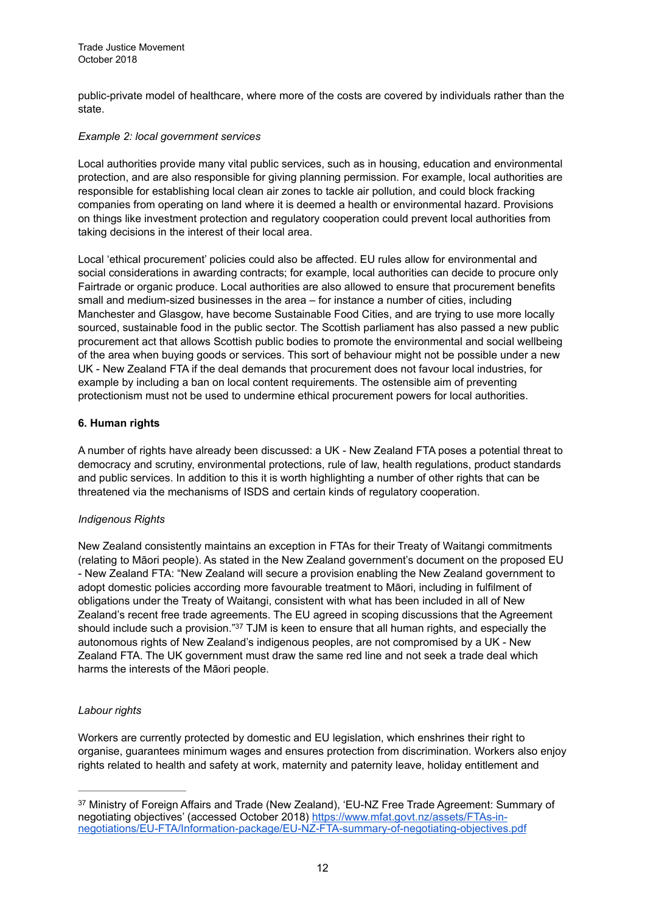public-private model of healthcare, where more of the costs are covered by individuals rather than the state.

#### *Example 2: local government services*

Local authorities provide many vital public services, such as in housing, education and environmental protection, and are also responsible for giving planning permission. For example, local authorities are responsible for establishing local clean air zones to tackle air pollution, and could block fracking companies from operating on land where it is deemed a health or environmental hazard. Provisions on things like investment protection and regulatory cooperation could prevent local authorities from taking decisions in the interest of their local area.

Local 'ethical procurement' policies could also be affected. EU rules allow for environmental and social considerations in awarding contracts; for example, local authorities can decide to procure only Fairtrade or organic produce. Local authorities are also allowed to ensure that procurement benefits small and medium-sized businesses in the area – for instance a number of cities, including Manchester and Glasgow, have become Sustainable Food Cities, and are trying to use more locally sourced, sustainable food in the public sector. The Scottish parliament has also passed a new public procurement act that allows Scottish public bodies to promote the environmental and social wellbeing of the area when buying goods or services. This sort of behaviour might not be possible under a new UK - New Zealand FTA if the deal demands that procurement does not favour local industries, for example by including a ban on local content requirements. The ostensible aim of preventing protectionism must not be used to undermine ethical procurement powers for local authorities.

#### **6. Human rights**

A number of rights have already been discussed: a UK - New Zealand FTA poses a potential threat to democracy and scrutiny, environmental protections, rule of law, health regulations, product standards and public services. In addition to this it is worth highlighting a number of other rights that can be threatened via the mechanisms of ISDS and certain kinds of regulatory cooperation.

# *Indigenous Rights*

New Zealand consistently maintains an exception in FTAs for their Treaty of Waitangi commitments (relating to Māori people). As stated in the New Zealand government's document on the proposed EU - New Zealand FTA: "New Zealand will secure a provision enabling the New Zealand government to adopt domestic policies according more favourable treatment to Māori, including in fulfilment of obligations under the Treaty of Waitangi, consistent with what has been included in all of New Zealand's recent free trade agreements. The EU agreed in scoping discussions that the Agreement should include such a provision." $37$  TJM is keen to ensure that all human rights, and especially the autonomous rights of New Zealand's indigenous peoples, are not compromised by a UK - New Zealand FTA. The UK government must draw the same red line and not seek a trade deal which harms the interests of the Māori people.

# *Labour rights*

Workers are currently protected by domestic and EU legislation, which enshrines their right to organise, guarantees minimum wages and ensures protection from discrimination. Workers also enjoy rights related to health and safety at work, maternity and paternity leave, holiday entitlement and

<sup>&</sup>lt;sup>37</sup> Ministry of Foreign Affairs and Trade (New Zealand), 'EU-NZ Free Trade Agreement: Summary of negotiating objectives' (accessed October 2018) https://www.mfat.govt.nz/assets/FTAs-in[negotiations/EU-FTA/Information-package/EU-NZ-FTA-summary-of-negotiating-objectives.pdf](https://www.mfat.govt.nz/assets/FTAs-in-negotiations/EU-FTA/Information-package/EU-NZ-FTA-summary-of-negotiating-objectives.pdf)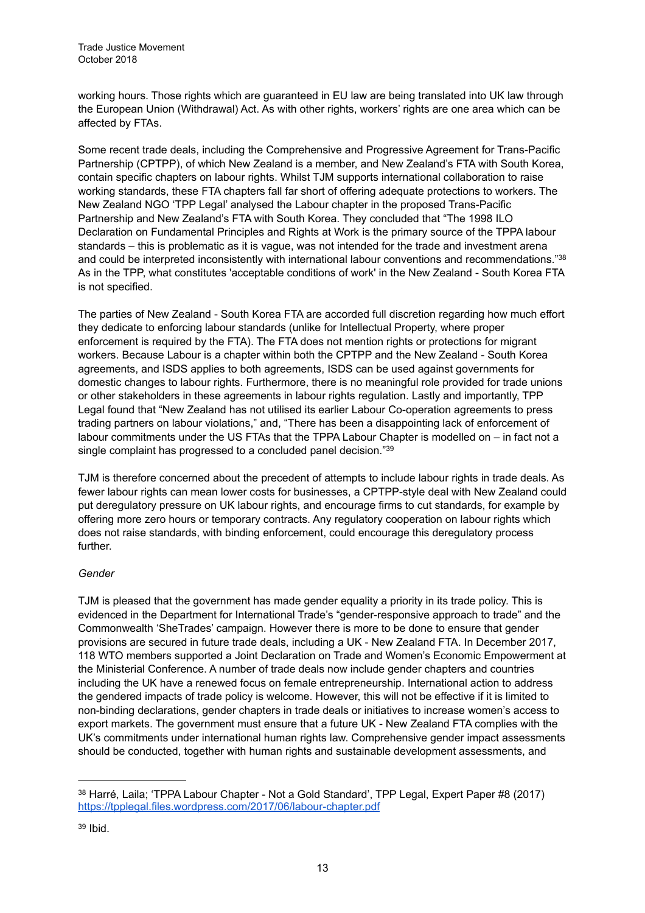working hours. Those rights which are guaranteed in EU law are being translated into UK law through the European Union (Withdrawal) Act. As with other rights, workers' rights are one area which can be affected by FTAs.

Some recent trade deals, including the Comprehensive and Progressive Agreement for Trans-Pacific Partnership (CPTPP), of which New Zealand is a member, and New Zealand's FTA with South Korea, contain specific chapters on labour rights. Whilst TJM supports international collaboration to raise working standards, these FTA chapters fall far short of offering adequate protections to workers. The New Zealand NGO 'TPP Legal' analysed the Labour chapter in the proposed Trans-Pacific Partnership and New Zealand's FTA with South Korea. They concluded that "The 1998 ILO Declaration on Fundamental Principles and Rights at Work is the primary source of the TPPA labour standards – this is problematic as it is vague, was not intended for the trade and investment arena and could be interpreted inconsistently with international labour conventions and recommendations."38 As in the TPP, what constitutes 'acceptable conditions of work' in the New Zealand - South Korea FTA is not specified.

The parties of New Zealand - South Korea FTA are accorded full discretion regarding how much effort they dedicate to enforcing labour standards (unlike for Intellectual Property, where proper enforcement is required by the FTA). The FTA does not mention rights or protections for migrant workers. Because Labour is a chapter within both the CPTPP and the New Zealand - South Korea agreements, and ISDS applies to both agreements, ISDS can be used against governments for domestic changes to labour rights. Furthermore, there is no meaningful role provided for trade unions or other stakeholders in these agreements in labour rights regulation. Lastly and importantly, TPP Legal found that "New Zealand has not utilised its earlier Labour Co-operation agreements to press trading partners on labour violations," and, "There has been a disappointing lack of enforcement of labour commitments under the US FTAs that the TPPA Labour Chapter is modelled on – in fact not a single complaint has progressed to a concluded panel decision."39

TJM is therefore concerned about the precedent of attempts to include labour rights in trade deals. As fewer labour rights can mean lower costs for businesses, a CPTPP-style deal with New Zealand could put deregulatory pressure on UK labour rights, and encourage firms to cut standards, for example by offering more zero hours or temporary contracts. Any regulatory cooperation on labour rights which does not raise standards, with binding enforcement, could encourage this deregulatory process further.

# *Gender*

TJM is pleased that the government has made gender equality a priority in its trade policy. This is evidenced in the Department for International Trade's "gender-responsive approach to trade" and the Commonwealth 'SheTrades' campaign. However there is more to be done to ensure that gender provisions are secured in future trade deals, including a UK - New Zealand FTA. In December 2017, 118 WTO members supported a Joint Declaration on Trade and Women's Economic Empowerment at the Ministerial Conference. A number of trade deals now include gender chapters and countries including the UK have a renewed focus on female entrepreneurship. International action to address the gendered impacts of trade policy is welcome. However, this will not be effective if it is limited to non-binding declarations, gender chapters in trade deals or initiatives to increase women's access to export markets. The government must ensure that a future UK - New Zealand FTA complies with the UK's commitments under international human rights law. Comprehensive gender impact assessments should be conducted, together with human rights and sustainable development assessments, and

<sup>38</sup> Harré, Laila; 'TPPA Labour Chapter - Not a Gold Standard', TPP Legal, Expert Paper #8 (2017) <https://tpplegal.files.wordpress.com/2017/06/labour-chapter.pdf>

 $39$  Ibid.